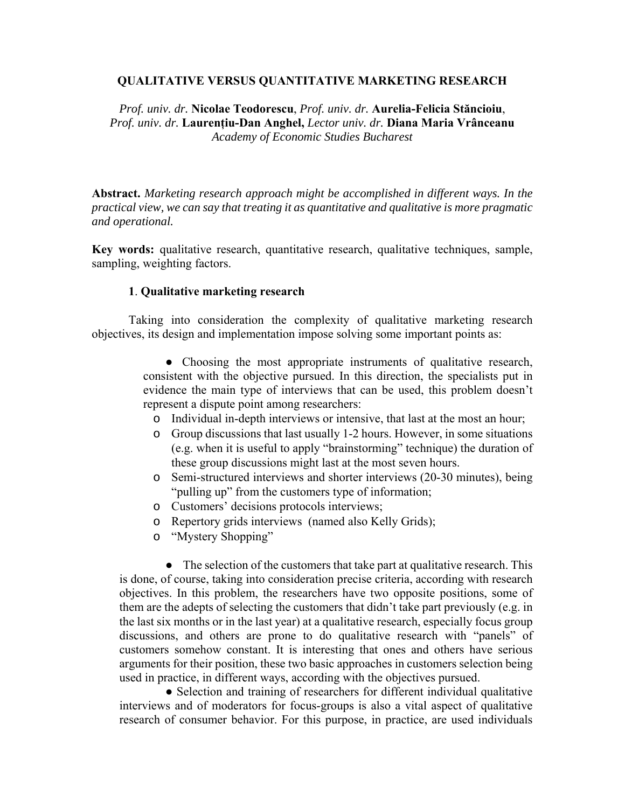# **QUALITATIVE VERSUS QUANTITATIVE MARKETING RESEARCH**

*Prof. univ. dr.* **Nicolae Teodorescu**, *Prof. univ. dr.* **Aurelia-Felicia Stăncioiu**, *Prof. univ. dr.* **Laurenţiu-Dan Anghel,** *Lector univ. dr.* **Diana Maria Vrânceanu** *Academy of Economic Studies Bucharest*

**Abstract.** *Marketing research approach might be accomplished in different ways. In the practical view, we can say that treating it as quantitative and qualitative is more pragmatic and operational.*

**Key words:** qualitative research, quantitative research, qualitative techniques, sample, sampling, weighting factors.

# **1**. **Qualitative marketing research**

 Taking into consideration the complexity of qualitative marketing research objectives, its design and implementation impose solving some important points as:

> • Choosing the most appropriate instruments of qualitative research, consistent with the objective pursued. In this direction, the specialists put in evidence the main type of interviews that can be used, this problem doesn't represent a dispute point among researchers:

- o Individual in-depth interviews or intensive, that last at the most an hour;
- o Group discussions that last usually 1-2 hours. However, in some situations (e.g. when it is useful to apply "brainstorming" technique) the duration of these group discussions might last at the most seven hours.
- o Semi-structured interviews and shorter interviews (20-30 minutes), being "pulling up" from the customers type of information;
- o Customers' decisions protocols interviews;
- o Repertory grids interviews (named also Kelly Grids);
- o "Mystery Shopping"

• The selection of the customers that take part at qualitative research. This is done, of course, taking into consideration precise criteria, according with research objectives. In this problem, the researchers have two opposite positions, some of them are the adepts of selecting the customers that didn't take part previously (e.g. in the last six months or in the last year) at a qualitative research, especially focus group discussions, and others are prone to do qualitative research with "panels" of customers somehow constant. It is interesting that ones and others have serious arguments for their position, these two basic approaches in customers selection being used in practice, in different ways, according with the objectives pursued.

• Selection and training of researchers for different individual qualitative interviews and of moderators for focus-groups is also a vital aspect of qualitative research of consumer behavior. For this purpose, in practice, are used individuals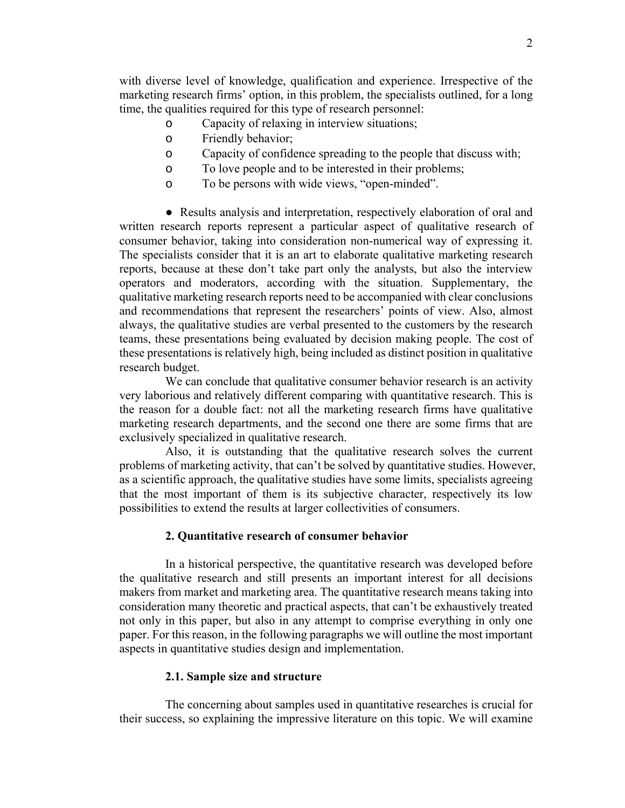with diverse level of knowledge, qualification and experience. Irrespective of the marketing research firms' option, in this problem, the specialists outlined, for a long time, the qualities required for this type of research personnel:

- o Capacity of relaxing in interview situations;
- o Friendly behavior;
- o Capacity of confidence spreading to the people that discuss with;
- o To love people and to be interested in their problems;
- o To be persons with wide views, "open-minded".

• Results analysis and interpretation, respectively elaboration of oral and written research reports represent a particular aspect of qualitative research of consumer behavior, taking into consideration non-numerical way of expressing it. The specialists consider that it is an art to elaborate qualitative marketing research reports, because at these don't take part only the analysts, but also the interview operators and moderators, according with the situation. Supplementary, the qualitative marketing research reports need to be accompanied with clear conclusions and recommendations that represent the researchers' points of view. Also, almost always, the qualitative studies are verbal presented to the customers by the research teams, these presentations being evaluated by decision making people. The cost of these presentations is relatively high, being included as distinct position in qualitative research budget.

 We can conclude that qualitative consumer behavior research is an activity very laborious and relatively different comparing with quantitative research. This is the reason for a double fact: not all the marketing research firms have qualitative marketing research departments, and the second one there are some firms that are exclusively specialized in qualitative research.

 Also, it is outstanding that the qualitative research solves the current problems of marketing activity, that can't be solved by quantitative studies. However, as a scientific approach, the qualitative studies have some limits, specialists agreeing that the most important of them is its subjective character, respectively its low possibilities to extend the results at larger collectivities of consumers.

## **2. Quantitative research of consumer behavior**

 In a historical perspective, the quantitative research was developed before the qualitative research and still presents an important interest for all decisions makers from market and marketing area. The quantitative research means taking into consideration many theoretic and practical aspects, that can't be exhaustively treated not only in this paper, but also in any attempt to comprise everything in only one paper. For this reason, in the following paragraphs we will outline the most important aspects in quantitative studies design and implementation.

## **2.1. Sample size and structure**

 The concerning about samples used in quantitative researches is crucial for their success, so explaining the impressive literature on this topic. We will examine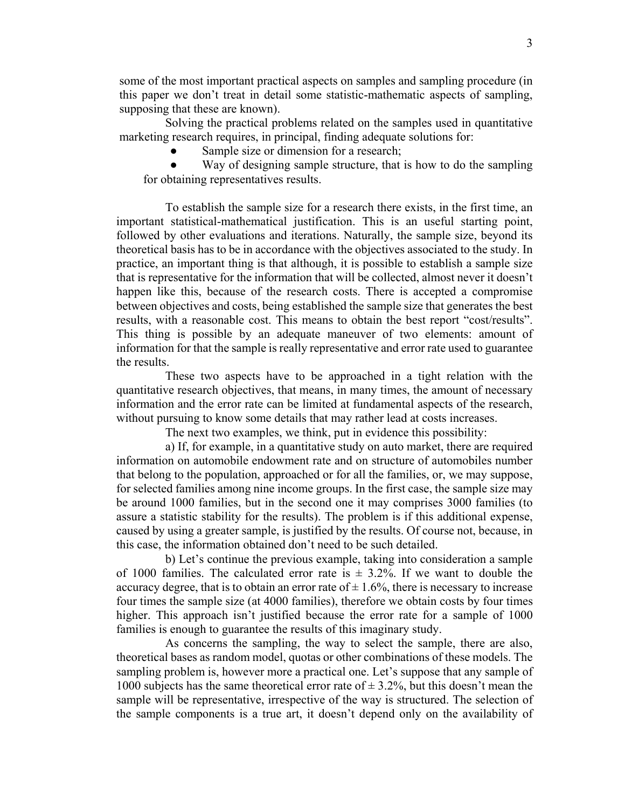some of the most important practical aspects on samples and sampling procedure (in this paper we don't treat in detail some statistic-mathematic aspects of sampling, supposing that these are known).

 Solving the practical problems related on the samples used in quantitative marketing research requires, in principal, finding adequate solutions for:

Sample size or dimension for a research;

Way of designing sample structure, that is how to do the sampling for obtaining representatives results.

 To establish the sample size for a research there exists, in the first time, an important statistical-mathematical justification. This is an useful starting point, followed by other evaluations and iterations. Naturally, the sample size, beyond its theoretical basis has to be in accordance with the objectives associated to the study. In practice, an important thing is that although, it is possible to establish a sample size that is representative for the information that will be collected, almost never it doesn't happen like this, because of the research costs. There is accepted a compromise between objectives and costs, being established the sample size that generates the best results, with a reasonable cost. This means to obtain the best report "cost/results". This thing is possible by an adequate maneuver of two elements: amount of information for that the sample is really representative and error rate used to guarantee the results.

 These two aspects have to be approached in a tight relation with the quantitative research objectives, that means, in many times, the amount of necessary information and the error rate can be limited at fundamental aspects of the research, without pursuing to know some details that may rather lead at costs increases.

The next two examples, we think, put in evidence this possibility:

 a) If, for example, in a quantitative study on auto market, there are required information on automobile endowment rate and on structure of automobiles number that belong to the population, approached or for all the families, or, we may suppose, for selected families among nine income groups. In the first case, the sample size may be around 1000 families, but in the second one it may comprises 3000 families (to assure a statistic stability for the results). The problem is if this additional expense, caused by using a greater sample, is justified by the results. Of course not, because, in this case, the information obtained don't need to be such detailed.

 b) Let's continue the previous example, taking into consideration a sample of 1000 families. The calculated error rate is  $\pm$  3.2%. If we want to double the accuracy degree, that is to obtain an error rate of  $\pm$  1.6%, there is necessary to increase four times the sample size (at 4000 families), therefore we obtain costs by four times higher. This approach isn't justified because the error rate for a sample of 1000 families is enough to guarantee the results of this imaginary study.

 As concerns the sampling, the way to select the sample, there are also, theoretical bases as random model, quotas or other combinations of these models. The sampling problem is, however more a practical one. Let's suppose that any sample of 1000 subjects has the same theoretical error rate of  $\pm$  3.2%, but this doesn't mean the sample will be representative, irrespective of the way is structured. The selection of the sample components is a true art, it doesn't depend only on the availability of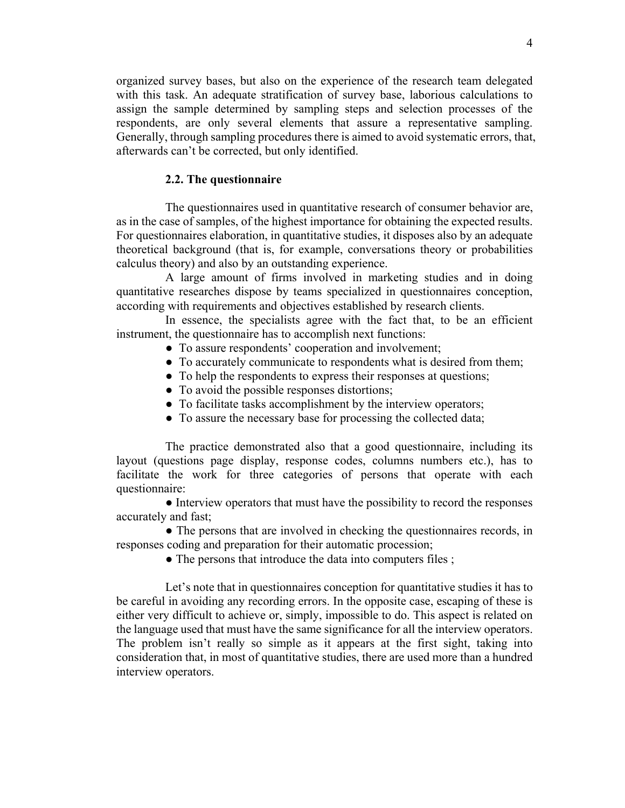organized survey bases, but also on the experience of the research team delegated with this task. An adequate stratification of survey base, laborious calculations to assign the sample determined by sampling steps and selection processes of the respondents, are only several elements that assure a representative sampling. Generally, through sampling procedures there is aimed to avoid systematic errors, that, afterwards can't be corrected, but only identified.

#### **2.2. The questionnaire**

 The questionnaires used in quantitative research of consumer behavior are, as in the case of samples, of the highest importance for obtaining the expected results. For questionnaires elaboration, in quantitative studies, it disposes also by an adequate theoretical background (that is, for example, conversations theory or probabilities calculus theory) and also by an outstanding experience.

 A large amount of firms involved in marketing studies and in doing quantitative researches dispose by teams specialized in questionnaires conception, according with requirements and objectives established by research clients.

 In essence, the specialists agree with the fact that, to be an efficient instrument, the questionnaire has to accomplish next functions:

- To assure respondents' cooperation and involvement;
- To accurately communicate to respondents what is desired from them;
- To help the respondents to express their responses at questions;
- To avoid the possible responses distortions;
- To facilitate tasks accomplishment by the interview operators;
- To assure the necessary base for processing the collected data;

 The practice demonstrated also that a good questionnaire, including its layout (questions page display, response codes, columns numbers etc.), has to facilitate the work for three categories of persons that operate with each questionnaire:

• Interview operators that must have the possibility to record the responses accurately and fast;

• The persons that are involved in checking the questionnaires records, in responses coding and preparation for their automatic procession;

• The persons that introduce the data into computers files;

Let's note that in questionnaires conception for quantitative studies it has to be careful in avoiding any recording errors. In the opposite case, escaping of these is either very difficult to achieve or, simply, impossible to do. This aspect is related on the language used that must have the same significance for all the interview operators. The problem isn't really so simple as it appears at the first sight, taking into consideration that, in most of quantitative studies, there are used more than a hundred interview operators.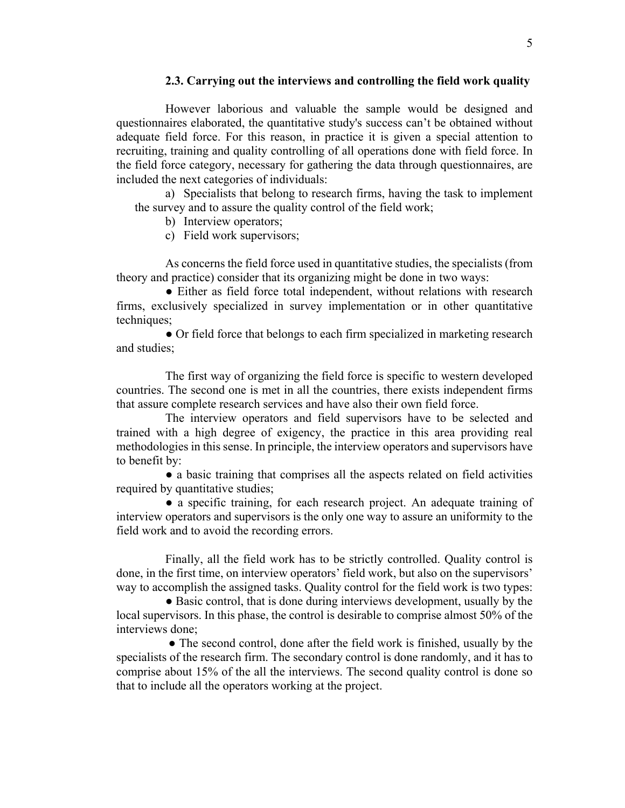## **2.3. Carrying out the interviews and controlling the field work quality**

 However laborious and valuable the sample would be designed and questionnaires elaborated, the quantitative study's success can't be obtained without adequate field force. For this reason, in practice it is given a special attention to recruiting, training and quality controlling of all operations done with field force. In the field force category, necessary for gathering the data through questionnaires, are included the next categories of individuals:

a) Specialists that belong to research firms, having the task to implement the survey and to assure the quality control of the field work;

b) Interview operators;

c) Field work supervisors;

 As concerns the field force used in quantitative studies, the specialists (from theory and practice) consider that its organizing might be done in two ways:

• Either as field force total independent, without relations with research firms, exclusively specialized in survey implementation or in other quantitative techniques;

 ● Or field force that belongs to each firm specialized in marketing research and studies;

 The first way of organizing the field force is specific to western developed countries. The second one is met in all the countries, there exists independent firms that assure complete research services and have also their own field force.

 The interview operators and field supervisors have to be selected and trained with a high degree of exigency, the practice in this area providing real methodologies in this sense. In principle, the interview operators and supervisors have to benefit by:

 ● a basic training that comprises all the aspects related on field activities required by quantitative studies;

 ● a specific training, for each research project. An adequate training of interview operators and supervisors is the only one way to assure an uniformity to the field work and to avoid the recording errors.

 Finally, all the field work has to be strictly controlled. Quality control is done, in the first time, on interview operators' field work, but also on the supervisors' way to accomplish the assigned tasks. Quality control for the field work is two types:

• Basic control, that is done during interviews development, usually by the local supervisors. In this phase, the control is desirable to comprise almost 50% of the interviews done;

• The second control, done after the field work is finished, usually by the specialists of the research firm. The secondary control is done randomly, and it has to comprise about 15% of the all the interviews. The second quality control is done so that to include all the operators working at the project.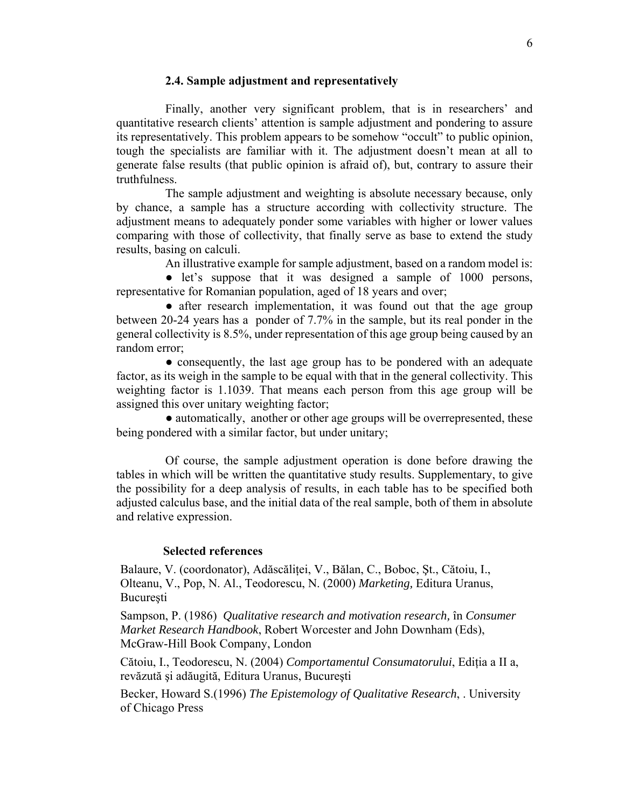## **2.4. Sample adjustment and representatively**

 Finally, another very significant problem, that is in researchers' and quantitative research clients' attention is sample adjustment and pondering to assure its representatively. This problem appears to be somehow "occult" to public opinion, tough the specialists are familiar with it. The adjustment doesn't mean at all to generate false results (that public opinion is afraid of), but, contrary to assure their truthfulness.

 The sample adjustment and weighting is absolute necessary because, only by chance, a sample has a structure according with collectivity structure. The adjustment means to adequately ponder some variables with higher or lower values comparing with those of collectivity, that finally serve as base to extend the study results, basing on calculi.

An illustrative example for sample adjustment, based on a random model is:

• let's suppose that it was designed a sample of 1000 persons, representative for Romanian population, aged of 18 years and over;

• after research implementation, it was found out that the age group between 20-24 years has a ponder of 7.7% in the sample, but its real ponder in the general collectivity is 8.5%, under representation of this age group being caused by an random error;

• consequently, the last age group has to be pondered with an adequate factor, as its weigh in the sample to be equal with that in the general collectivity. This weighting factor is 1.1039. That means each person from this age group will be assigned this over unitary weighting factor;

• automatically, another or other age groups will be overrepresented, these being pondered with a similar factor, but under unitary;

 Of course, the sample adjustment operation is done before drawing the tables in which will be written the quantitative study results. Supplementary, to give the possibility for a deep analysis of results, in each table has to be specified both adjusted calculus base, and the initial data of the real sample, both of them in absolute and relative expression.

## **Selected references**

Balaure, V. (coordonator), Adăscăliţei, V., Bălan, C., Boboc, Şt., Cătoiu, I., Olteanu, V., Pop, N. Al., Teodorescu, N. (2000) *Marketing,* Editura Uranus, Bucureşti

Sampson, P. (1986) *Qualitative research and motivation research,* în *Consumer Market Research Handbook*, Robert Worcester and John Downham (Eds), McGraw-Hill Book Company, London

Cătoiu, I., Teodorescu, N. (2004) *Comportamentul Consumatorului*, Ediţia a II a, revăzută şi adăugită, Editura Uranus, Bucureşti

Becker, Howard S.(1996) *The Epistemology of Qualitative Research*, . University of Chicago Press